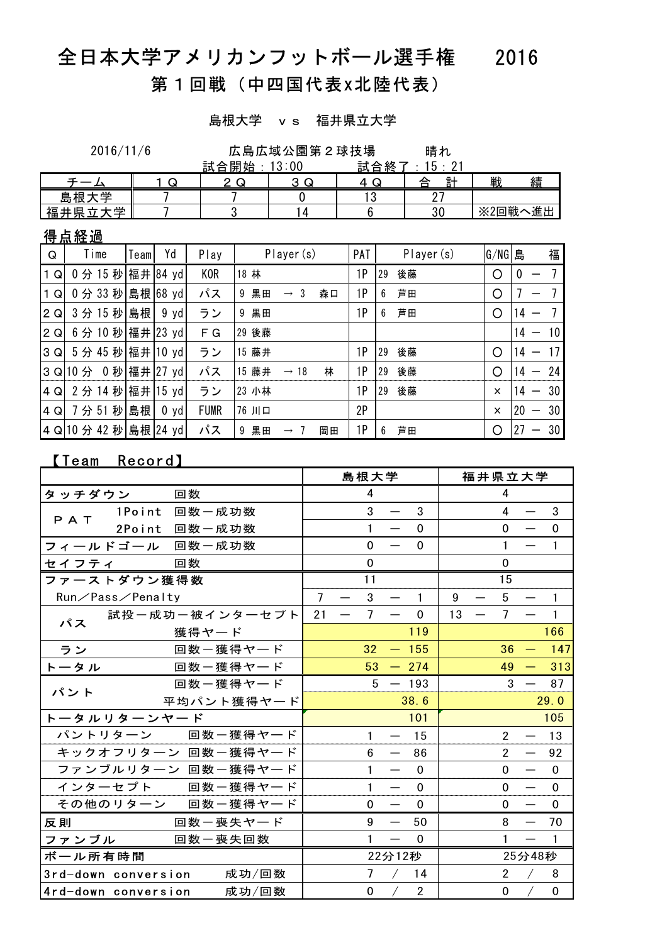# 全日本大学アメリカンフットボール選手権 2016

# 第1回戦(中四国代表x北陸代表)

島根大学 vs 福井県立大学

晴れ 2016/11/6 広島広域公園第2球技場

|                     |   | 試<br>合開始      | $\circ \cdot \circ \circ$<br>υu<br>υ | 終<br>試<br>▵ | ົ               |             |
|---------------------|---|---------------|--------------------------------------|-------------|-----------------|-------------|
|                     | ى | ى<br><u>.</u> | $\sqrt{2}$<br>⌒<br>u                 | ↵<br>v      | $\equiv +$<br>≙ | 戦<br>績      |
| عدد<br>七日<br>島<br>– |   |               |                                      | L           | --<br><u>_</u>  |             |
| 屵<br>阜<br>福.        |   |               | Д                                    |             | ົ<br>υu         | 進出<br>※2回戦· |

## 得点経過

| Q            | Time                   | Teaml | Yd            | Play        | Player (s)                               | PAT | Player (s) | G/NG 島   | 福                                     |
|--------------|------------------------|-------|---------------|-------------|------------------------------------------|-----|------------|----------|---------------------------------------|
| 1 Q          | 0分15秒 福井 84 yd         |       |               | <b>KOR</b>  | 18 林                                     | 1P  | 後藤<br>29   | O        | $\boldsymbol{0}$                      |
| 1 Q          | 0分 33秒                 |       | 島根 68 yd      | パス          | 黒田<br>森口<br>-3<br>9<br>$\longrightarrow$ | 1P  | 芦田<br>6    | O        |                                       |
| $ 2 \Omega $ | 3分15秒                  | 島根    | $9 \text{yd}$ | ラン          | 黒田<br>9                                  | 1P  | 芦田<br>6    | O        | 14                                    |
| 2Q           | 6 分 10 秒 福井 23 yd      |       |               | F G         | 29 後藤                                    |     |            |          | 10<br>14                              |
| 3 Q          | 5分 45 秒 福井 10 yd       |       |               | ラン          | 藤井<br>15                                 | 1P  | 後藤<br>29   | ∩        | 17<br>14                              |
|              | 3 Q 10 分 0 秒 福井 27 yd  |       |               | パス          | 林<br>15 藤井<br>$\rightarrow$ 18           | 1P  | 後藤<br>29   | Ο        | -24<br>14<br>$\overline{\phantom{0}}$ |
| 4Q           | 2分14秒 福井 15 yd         |       |               | ラン          | 23 小林                                    | 1P  | 後藤<br>29   | ×        | 30<br>14<br>$\overline{\phantom{m}}$  |
| 4Q           | 7分51秒                  | 島根    | 0 yd          | <b>FUMR</b> | 76 川口                                    | 2P  |            | $\times$ | 30<br>20<br>$\overline{\phantom{0}}$  |
|              | 4 Q 10 分 42 秒 島根 24 yd |       |               | パス          | 黒田<br>岡田<br>9<br>$\rightarrow$ 7         | 1Р  | 芦田<br>6    | O        | 30<br>27<br>—                         |

## 【Team Record】

|                     |               |                    |                |                  | 島根大学            |                          |                |        | 福井県立大学 |                      |                          |                |
|---------------------|---------------|--------------------|----------------|------------------|-----------------|--------------------------|----------------|--------|--------|----------------------|--------------------------|----------------|
| タッチダウン              | 回数            |                    |                |                  | 4               |                          |                |        |        | 4                    |                          |                |
| PAT                 | 1Point 回数一成功数 |                    |                |                  | 3               | $\qquad \qquad$          | 3              |        |        | $\overline{4}$       |                          | 3              |
|                     | 2Point 回数一成功数 |                    |                |                  | $\mathbf{1}$    |                          | $\Omega$       |        |        | $\Omega$             | $\qquad \qquad$          | $\Omega$       |
| フィールドゴール 回数一成功数     |               |                    |                |                  | $\Omega$        | $\qquad \qquad$          | $\Omega$       |        |        | $\mathbf{1}$         |                          | $\mathbf{1}$   |
| セイフティ               | 回数            |                    |                |                  | $\mathbf 0$     |                          |                |        |        | $\mathbf 0$          |                          |                |
| ファーストダウン獲得数         |               |                    |                |                  | 11              |                          |                |        |        | 15                   |                          |                |
| Run/Pass/Penalty    |               |                    | $\overline{7}$ |                  | 3               |                          | $\mathbf{1}$   | 9      |        | 5                    |                          | $\mathbf{1}$   |
| パス                  |               | 試投ー成功ー被インターセプト     | 21             | $\hspace{0.1mm}$ | $\overline{7}$  |                          | $\mathbf 0$    | $13 -$ |        | $7^{\circ}$          |                          | $\mathbf{1}$   |
|                     |               | 獲得ヤード              |                |                  |                 |                          | 119            |        |        |                      |                          | 166            |
| ラン                  |               | 回数ー獲得ヤード           |                |                  | 32 <sup>2</sup> |                          | $-155$         |        |        | 36                   | $\overline{\phantom{m}}$ | 147            |
| トータル                |               | 回数ー獲得ヤード           |                |                  |                 | $53 - 274$               |                |        |        | 49                   |                          | $-313$         |
| パント                 |               | 回数ー獲得ヤード           |                |                  |                 | $5 - 193$                |                |        |        | 3                    |                          | 87             |
|                     | 平均パント獲得ヤード    |                    |                |                  |                 | 38.6                     |                |        |        |                      | 29.0                     |                |
| トータルリターンヤード         |               |                    |                |                  |                 |                          | 101            |        |        |                      |                          | 105            |
|                     |               | パントリターン 回数一獲得ヤード   |                |                  | 1               |                          | 15             |        |        | $\mathbf{2}^{\circ}$ |                          | 13             |
|                     |               | キックオフリターン 回数一獲得ヤード |                |                  | 6               |                          | 86             |        |        | $\overline{2}$       |                          | 92             |
|                     |               | ファンブルリターン 回数一獲得ヤード |                |                  | 1               | $\qquad \qquad$          | $\Omega$       |        |        | $\Omega$             |                          | $\mathbf 0$    |
|                     |               | インターセプト 回数一獲得ヤード   |                |                  | 1               |                          | $\Omega$       |        |        | $\Omega$             |                          | $\mathbf{0}$   |
|                     |               | その他のリターン 回数一獲得ヤード  |                |                  | 0               |                          | $\Omega$       |        |        | $\Omega$             |                          | $\mathbf{0}$   |
| 反則                  |               | 回数一喪失ヤード           |                |                  | 9               | $\overline{\phantom{m}}$ | 50             |        |        | 8                    |                          | 70             |
| ファンブル               |               | 回数一喪失回数            |                |                  | 1               |                          | $\Omega$       |        |        | $\mathbf{1}$         | $\overline{\phantom{m}}$ | $\overline{1}$ |
| ボール所有時間             |               |                    |                |                  | 22分12秒          |                          |                |        |        | 25分48秒               |                          |                |
| 3rd-down conversion |               | 成功/回数              |                |                  | $\overline{7}$  |                          | 14             |        |        | $2^{\circ}$          |                          | 8              |
| 4rd-down conversion |               | 成功/回数              |                |                  | 0               |                          | $\overline{2}$ |        |        | 0                    |                          | 0              |